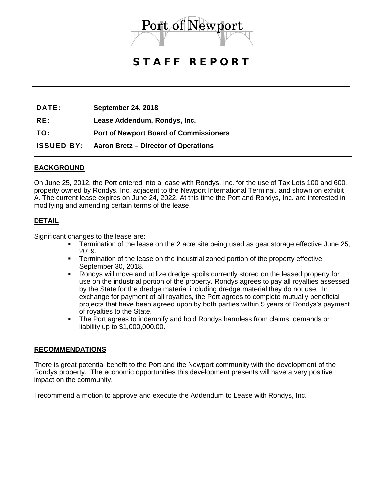

## STAFF REPORT

**DATE: September 24, 2018**

**RE: Lease Addendum, Rondys, Inc.** 

**TO: Port of Newport Board of Commissioners**

**ISSUED BY: Aaron Bretz – Director of Operations**

### **BACKGROUND**

On June 25, 2012, the Port entered into a lease with Rondys, Inc. for the use of Tax Lots 100 and 600, property owned by Rondys, Inc. adjacent to the Newport International Terminal, and shown on exhibit A. The current lease expires on June 24, 2022. At this time the Port and Rondys, Inc. are interested in modifying and amending certain terms of the lease.

### **DETAIL**

Significant changes to the lease are:

- Termination of the lease on the 2 acre site being used as gear storage effective June 25, 2019.
- **Termination of the lease on the industrial zoned portion of the property effective** September 30, 2018.
- Rondys will move and utilize dredge spoils currently stored on the leased property for use on the industrial portion of the property. Rondys agrees to pay all royalties assessed by the State for the dredge material including dredge material they do not use. In exchange for payment of all royalties, the Port agrees to complete mutually beneficial projects that have been agreed upon by both parties within 5 years of Rondys's payment of royalties to the State.
- The Port agrees to indemnify and hold Rondys harmless from claims, demands or liability up to \$1,000,000.00.

#### **RECOMMENDATIONS**

There is great potential benefit to the Port and the Newport community with the development of the Rondys property. The economic opportunities this development presents will have a very positive impact on the community.

I recommend a motion to approve and execute the Addendum to Lease with Rondys, Inc.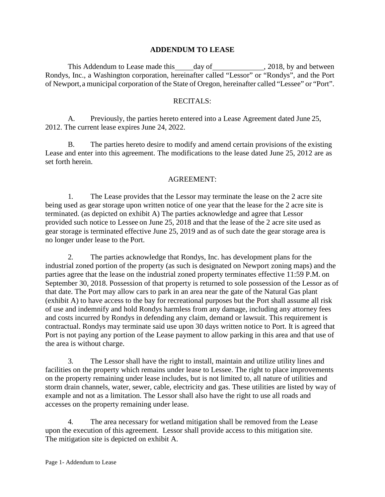### **ADDENDUM TO LEASE**

This Addendum to Lease made this \_\_\_\_\_ day of \_\_\_\_\_\_\_\_\_\_\_\_\_\_\_, 2018, by and between Rondys, Inc., a Washington corporation, hereinafter called "Lessor" or "Rondys", and the Port of Newport,a municipal corporation of the State of Oregon, hereinafter called "Lessee" or "Port".

#### RECITALS:

A. Previously, the parties hereto entered into a Lease Agreement dated June 25, 2012. The current lease expires June 24, 2022.

B. The parties hereto desire to modify and amend certain provisions of the existing Lease and enter into this agreement. The modifications to the lease dated June 25, 2012 are as set forth herein.

#### AGREEMENT:

1. The Lease provides that the Lessor may terminate the lease on the 2 acre site being used as gear storage upon written notice of one year that the lease for the 2 acre site is terminated. (as depicted on exhibit A) The parties acknowledge and agree that Lessor provided such notice to Lessee on June 25, 2018 and that the lease of the 2 acre site used as gear storage is terminated effective June 25, 2019 and as of such date the gear storage area is no longer under lease to the Port.

2. The parties acknowledge that Rondys, Inc. has development plans for the industrial zoned portion of the property (as such is designated on Newport zoning maps) and the parties agree that the lease on the industrial zoned property terminates effective 11:59 P.M. on September 30, 2018. Possession of that property is returned to sole possession of the Lessor as of that date. The Port may allow cars to park in an area near the gate of the Natural Gas plant (exhibit A) to have access to the bay for recreational purposes but the Port shall assume all risk of use and indemnify and hold Rondys harmless from any damage, including any attorney fees and costs incurred by Rondys in defending any claim, demand or lawsuit. This requirement is contractual. Rondys may terminate said use upon 30 days written notice to Port. It is agreed that Port is not paying any portion of the Lease payment to allow parking in this area and that use of the area is without charge.

3. The Lessor shall have the right to install, maintain and utilize utility lines and facilities on the property which remains under lease to Lessee. The right to place improvements on the property remaining under lease includes, but is not limited to, all nature of utilities and storm drain channels, water, sewer, cable, electricity and gas. These utilities are listed by way of example and not as a limitation. The Lessor shall also have the right to use all roads and accesses on the property remaining under lease.

4. The area necessary for wetland mitigation shall be removed from the Lease upon the execution of this agreement. Lessor shall provide access to this mitigation site. The mitigation site is depicted on exhibit A.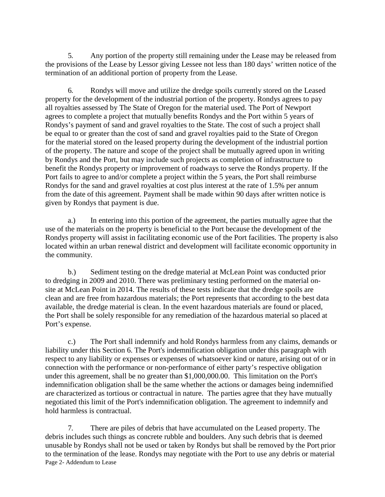5. Any portion of the property still remaining under the Lease may be released from the provisions of the Lease by Lessor giving Lessee not less than 180 days' written notice of the termination of an additional portion of property from the Lease.

6. Rondys will move and utilize the dredge spoils currently stored on the Leased property for the development of the industrial portion of the property. Rondys agrees to pay all royalties assessed by The State of Oregon for the material used. The Port of Newport agrees to complete a project that mutually benefits Rondys and the Port within 5 years of Rondys's payment of sand and gravel royalties to the State. The cost of such a project shall be equal to or greater than the cost of sand and gravel royalties paid to the State of Oregon for the material stored on the leased property during the development of the industrial portion of the property. The nature and scope of the project shall be mutually agreed upon in writing by Rondys and the Port, but may include such projects as completion of infrastructure to benefit the Rondys property or improvement of roadways to serve the Rondys property. If the Port fails to agree to and/or complete a project within the 5 years, the Port shall reimburse Rondys for the sand and gravel royalties at cost plus interest at the rate of 1.5% per annum from the date of this agreement. Payment shall be made within 90 days after written notice is given by Rondys that payment is due.

a.) In entering into this portion of the agreement, the parties mutually agree that the use of the materials on the property is beneficial to the Port because the development of the Rondys property will assist in facilitating economic use of the Port facilities. The property is also located within an urban renewal district and development will facilitate economic opportunity in the community.

b.) Sediment testing on the dredge material at McLean Point was conducted prior to dredging in 2009 and 2010. There was preliminary testing performed on the material onsite at McLean Point in 2014. The results of these tests indicate that the dredge spoils are clean and are free from hazardous materials; the Port represents that according to the best data available, the dredge material is clean. In the event hazardous materials are found or placed, the Port shall be solely responsible for any remediation of the hazardous material so placed at Port's expense.

c.) The Port shall indemnify and hold Rondys harmless from any claims, demands or liability under this Section 6. The Port's indemnification obligation under this paragraph with respect to any liability or expenses or expenses of whatsoever kind or nature, arising out of or in connection with the performance or non-performance of either party's respective obligation under this agreement, shall be no greater than \$1,000,000.00. This limitation on the Port's indemnification obligation shall be the same whether the actions or damages being indemnified are characterized as tortious or contractual in nature. The parties agree that they have mutually negotiated this limit of the Port's indemnification obligation. The agreement to indemnify and hold harmless is contractual.

Page 2- Addendum to Lease 7. There are piles of debris that have accumulated on the Leased property. The debris includes such things as concrete rubble and boulders. Any such debris that is deemed unusable by Rondys shall not be used or taken by Rondys but shall be removed by the Port prior to the termination of the lease. Rondys may negotiate with the Port to use any debris or material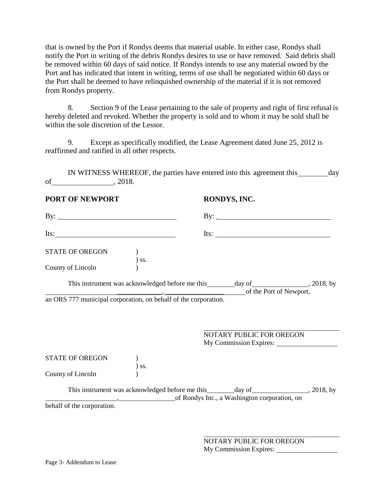that is owned by the Port if Rondys deems that material usable. In either case, Rondys shall notify the Port in writing of the debris Rondys desires to use or have removed. Said debris shall be removed within 60 days of said notice. If Rondys intends to use any material owned by the Port and has indicated that intent in writing, terms of use shall be negotiated within 60 days or the Port shall be deemed to have relinquished ownership of the material if it is not removed from Rondys property.

8. Section 9 of the Lease pertaining to the sale of property and right of first refusal is hereby deleted and revoked. Whether the property is sold and to whom it may be sold shall be within the sole discretion of the Lessor.

9. Except as specifically modified, the Lease Agreement dated June 25, 2012 is reaffirmed and ratified in all other respects.

IN WITNESS WHEREOF, the parties have entered into this agreement this day of , 2018.

**PORT OF NEWPORT RONDYS, INC.**

| By: $\overline{\phantom{a}}$                                              |                                                                                                                                                      | By: $\qquad \qquad$      |  |
|---------------------------------------------------------------------------|------------------------------------------------------------------------------------------------------------------------------------------------------|--------------------------|--|
| Its: $\frac{1}{\sqrt{1-\frac{1}{2}}\left(\frac{1}{2}-\frac{1}{2}\right)}$ |                                                                                                                                                      | Its:                     |  |
| <b>STATE OF OREGON</b>                                                    |                                                                                                                                                      |                          |  |
| County of Lincoln                                                         | SS.                                                                                                                                                  |                          |  |
|                                                                           |                                                                                                                                                      | of the Port of Newport,  |  |
|                                                                           | an ORS 777 municipal corporation, on behalf of the corporation.                                                                                      |                          |  |
|                                                                           |                                                                                                                                                      |                          |  |
|                                                                           |                                                                                                                                                      | NOTARY PUBLIC FOR OREGON |  |
|                                                                           |                                                                                                                                                      | My Commission Expires:   |  |
| <b>STATE OF OREGON</b>                                                    |                                                                                                                                                      |                          |  |
| County of Lincoln                                                         | $)$ ss.                                                                                                                                              |                          |  |
|                                                                           | This instrument was acknowledged before me this _______ day of __________________, 2018, by<br>The same of Rondys Inc., a Washington corporation, on |                          |  |
| behalf of the corporation.                                                |                                                                                                                                                      |                          |  |

NOTARY PUBLIC FOR OREGON My Commission Expires: